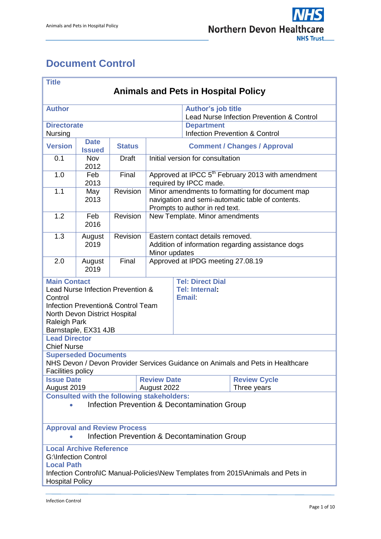'n



÷

# <span id="page-0-0"></span>**Document Control**

| <b>Title</b><br><b>Animals and Pets in Hospital Policy</b>                                                                                                                                           |                              |               |                                                                                                                                       |                                                                                |  |  |  |  |  |
|------------------------------------------------------------------------------------------------------------------------------------------------------------------------------------------------------|------------------------------|---------------|---------------------------------------------------------------------------------------------------------------------------------------|--------------------------------------------------------------------------------|--|--|--|--|--|
| <b>Author</b>                                                                                                                                                                                        |                              |               |                                                                                                                                       | <b>Author's job title</b><br>Lead Nurse Infection Prevention & Control         |  |  |  |  |  |
| <b>Directorate</b><br><b>Nursing</b>                                                                                                                                                                 |                              |               |                                                                                                                                       | <b>Department</b><br><b>Infection Prevention &amp; Control</b>                 |  |  |  |  |  |
| <b>Version</b>                                                                                                                                                                                       | <b>Date</b><br><b>Issued</b> | <b>Status</b> | <b>Comment / Changes / Approval</b>                                                                                                   |                                                                                |  |  |  |  |  |
| 0.1                                                                                                                                                                                                  | <b>Nov</b><br>2012           | <b>Draft</b>  | Initial version for consultation                                                                                                      |                                                                                |  |  |  |  |  |
| 1.0                                                                                                                                                                                                  | Feb<br>2013                  | Final         | Approved at IPCC 5 <sup>th</sup> February 2013 with amendment<br>required by IPCC made.                                               |                                                                                |  |  |  |  |  |
| 1.1                                                                                                                                                                                                  | May<br>2013                  | Revision      | Minor amendments to formatting for document map<br>navigation and semi-automatic table of contents.<br>Prompts to author in red text. |                                                                                |  |  |  |  |  |
| 1.2                                                                                                                                                                                                  | Feb<br>2016                  | Revision      | New Template. Minor amendments                                                                                                        |                                                                                |  |  |  |  |  |
| 1.3                                                                                                                                                                                                  | August<br>2019               | Revision      | Eastern contact details removed.<br>Addition of information regarding assistance dogs<br>Minor updates                                |                                                                                |  |  |  |  |  |
| 2.0                                                                                                                                                                                                  | August<br>2019               | Final         | Approved at IPDG meeting 27.08.19                                                                                                     |                                                                                |  |  |  |  |  |
| <b>Main Contact</b><br>Lead Nurse Infection Prevention &<br>Control<br><b>Infection Prevention&amp; Control Team</b><br>North Devon District Hospital<br><b>Raleigh Park</b><br>Barnstaple, EX31 4JB |                              |               |                                                                                                                                       | <b>Tel: Direct Dial</b><br><b>Tel: Internal:</b><br><b>Email:</b>              |  |  |  |  |  |
| <b>Lead Director</b><br><b>Chief Nurse</b><br><b>Superseded Documents</b>                                                                                                                            |                              |               |                                                                                                                                       |                                                                                |  |  |  |  |  |
| <b>Facilities policy</b>                                                                                                                                                                             |                              |               |                                                                                                                                       | NHS Devon / Devon Provider Services Guidance on Animals and Pets in Healthcare |  |  |  |  |  |
| <b>Issue Date</b><br>August 2019                                                                                                                                                                     |                              |               | <b>Review Date</b><br>August 2022                                                                                                     | <b>Review Cycle</b><br>Three years                                             |  |  |  |  |  |
| <b>Consulted with the following stakeholders:</b><br>Infection Prevention & Decontamination Group                                                                                                    |                              |               |                                                                                                                                       |                                                                                |  |  |  |  |  |
| <b>Approval and Review Process</b><br>Infection Prevention & Decontamination Group                                                                                                                   |                              |               |                                                                                                                                       |                                                                                |  |  |  |  |  |
| <b>Local Archive Reference</b><br><b>G:</b> \Infection Control<br><b>Local Path</b><br>Infection Control\IC Manual-Policies\New Templates from 2015\Animals and Pets in<br><b>Hospital Policy</b>    |                              |               |                                                                                                                                       |                                                                                |  |  |  |  |  |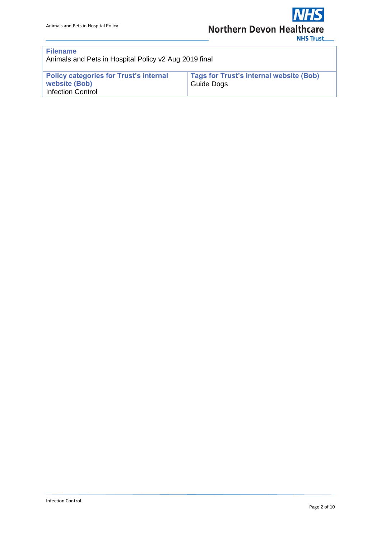| <b>Filename</b><br>Animals and Pets in Hospital Policy v2 Aug 2019 final                   |                                                                     |  |  |  |  |  |
|--------------------------------------------------------------------------------------------|---------------------------------------------------------------------|--|--|--|--|--|
| <b>Policy categories for Trust's internal</b><br>website (Bob)<br><b>Infection Control</b> | <b>Tags for Trust's internal website (Bob)</b><br><b>Guide Dogs</b> |  |  |  |  |  |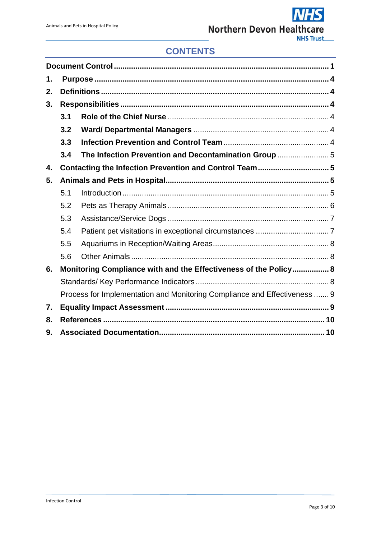# **CONTENTS**

| 1. |                                                                           |                                                                  |  |  |  |  |
|----|---------------------------------------------------------------------------|------------------------------------------------------------------|--|--|--|--|
| 2. |                                                                           |                                                                  |  |  |  |  |
| 3. |                                                                           |                                                                  |  |  |  |  |
|    | 3.1                                                                       |                                                                  |  |  |  |  |
|    | 3.2                                                                       |                                                                  |  |  |  |  |
|    | 3.3                                                                       |                                                                  |  |  |  |  |
|    | 3.4                                                                       | The Infection Prevention and Decontamination Group  5            |  |  |  |  |
| 4. |                                                                           | Contacting the Infection Prevention and Control Team5            |  |  |  |  |
| 5. |                                                                           |                                                                  |  |  |  |  |
|    | 5.1                                                                       |                                                                  |  |  |  |  |
|    | 5.2                                                                       |                                                                  |  |  |  |  |
|    | 5.3                                                                       |                                                                  |  |  |  |  |
|    | 5.4                                                                       |                                                                  |  |  |  |  |
|    | 5.5                                                                       |                                                                  |  |  |  |  |
|    | 5.6                                                                       |                                                                  |  |  |  |  |
| 6. |                                                                           | Monitoring Compliance with and the Effectiveness of the Policy 8 |  |  |  |  |
|    |                                                                           |                                                                  |  |  |  |  |
|    | Process for Implementation and Monitoring Compliance and Effectiveness  9 |                                                                  |  |  |  |  |
| 7. |                                                                           |                                                                  |  |  |  |  |
| 8. |                                                                           |                                                                  |  |  |  |  |
| 9. |                                                                           |                                                                  |  |  |  |  |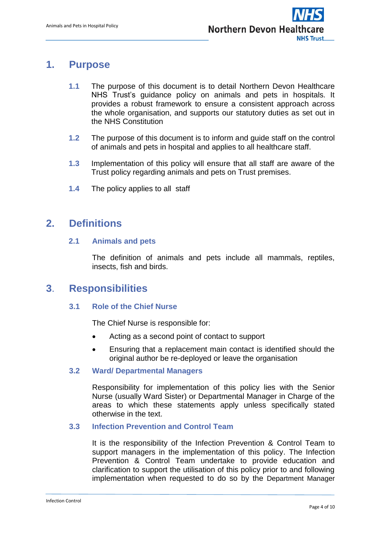# <span id="page-3-0"></span>**1. Purpose**

- **1.1** The purpose of this document is to detail Northern Devon Healthcare NHS Trust's guidance policy on animals and pets in hospitals. It provides a robust framework to ensure a consistent approach across the whole organisation, and supports our statutory duties as set out in the NHS Constitution
- **1.2** The purpose of this document is to inform and guide staff on the control of animals and pets in hospital and applies to all healthcare staff.
- **1.3** Implementation of this policy will ensure that all staff are aware of the Trust policy regarding animals and pets on Trust premises.
- **1.4** The policy applies to all staff

# <span id="page-3-1"></span>**2. Definitions**

## **2.1 Animals and pets**

The definition of animals and pets include all mammals, reptiles, insects, fish and birds.

# <span id="page-3-2"></span>**3**. **Responsibilities**

## <span id="page-3-3"></span>**3.1 Role of the Chief Nurse**

The Chief Nurse is responsible for:

- Acting as a second point of contact to support
- Ensuring that a replacement main contact is identified should the original author be re-deployed or leave the organisation

### <span id="page-3-4"></span>**3.2 Ward/ Departmental Managers**

Responsibility for implementation of this policy lies with the Senior Nurse (usually Ward Sister) or Departmental Manager in Charge of the areas to which these statements apply unless specifically stated otherwise in the text.

### <span id="page-3-5"></span>**3.3 Infection Prevention and Control Team**

It is the responsibility of the Infection Prevention & Control Team to support managers in the implementation of this policy. The Infection Prevention & Control Team undertake to provide education and clarification to support the utilisation of this policy prior to and following implementation when requested to do so by the Department Manager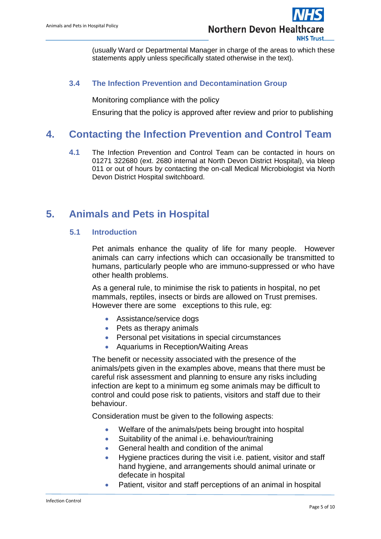(usually Ward or Departmental Manager in charge of the areas to which these statements apply unless specifically stated otherwise in the text).

## <span id="page-4-0"></span> **3.4 The Infection Prevention and Decontamination Group**

Monitoring compliance with the policy

Ensuring that the policy is approved after review and prior to publishing

# <span id="page-4-1"></span>**4. Contacting the Infection Prevention and Control Team**

**4.1** The Infection Prevention and Control Team can be contacted in hours on 01271 322680 (ext. 2680 internal at North Devon District Hospital), via bleep 011 or out of hours by contacting the on-call Medical Microbiologist via North Devon District Hospital switchboard.

# <span id="page-4-3"></span><span id="page-4-2"></span>**5. Animals and Pets in Hospital**

### **5.1 Introduction**

Pet animals enhance the quality of life for many people. However animals can carry infections which can occasionally be transmitted to humans, particularly people who are immuno-suppressed or who have other health problems.

As a general rule, to minimise the risk to patients in hospital, no pet mammals, reptiles, insects or birds are allowed on Trust premises. However there are some exceptions to this rule, eg:

- Assistance/service dogs
- Pets as therapy animals
- Personal pet visitations in special circumstances
- Aquariums in Reception/Waiting Areas

The benefit or necessity associated with the presence of the animals/pets given in the examples above, means that there must be careful risk assessment and planning to ensure any risks including infection are kept to a minimum eg some animals may be difficult to control and could pose risk to patients, visitors and staff due to their behaviour.

Consideration must be given to the following aspects:

- Welfare of the animals/pets being brought into hospital
- Suitability of the animal i.e. behaviour/training
- General health and condition of the animal
- Hygiene practices during the visit i.e. patient, visitor and staff hand hygiene, and arrangements should animal urinate or defecate in hospital
- Patient, visitor and staff perceptions of an animal in hospital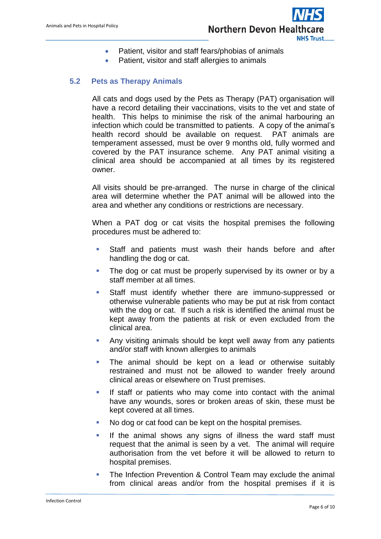

- Patient, visitor and staff fears/phobias of animals
- Patient, visitor and staff allergies to animals

## <span id="page-5-0"></span>**5.2 Pets as Therapy Animals**

All cats and dogs used by the Pets as Therapy (PAT) organisation will have a record detailing their vaccinations, visits to the vet and state of health. This helps to minimise the risk of the animal harbouring an infection which could be transmitted to patients. A copy of the animal's health record should be available on request. PAT animals are temperament assessed, must be over 9 months old, fully wormed and covered by the PAT insurance scheme. Any PAT animal visiting a clinical area should be accompanied at all times by its registered owner.

All visits should be pre-arranged. The nurse in charge of the clinical area will determine whether the PAT animal will be allowed into the area and whether any conditions or restrictions are necessary.

When a PAT dog or cat visits the hospital premises the following procedures must be adhered to:

- **Staff and patients must wash their hands before and after** handling the dog or cat.
- The dog or cat must be properly supervised by its owner or by a staff member at all times.
- Staff must identify whether there are immuno-suppressed or otherwise vulnerable patients who may be put at risk from contact with the dog or cat. If such a risk is identified the animal must be kept away from the patients at risk or even excluded from the clinical area.
- Any visiting animals should be kept well away from any patients and/or staff with known allergies to animals
- **The animal should be kept on a lead or otherwise suitably** restrained and must not be allowed to wander freely around clinical areas or elsewhere on Trust premises.
- If staff or patients who may come into contact with the animal have any wounds, sores or broken areas of skin, these must be kept covered at all times.
- No dog or cat food can be kept on the hospital premises.
- **If the animal shows any signs of illness the ward staff must** request that the animal is seen by a vet. The animal will require authorisation from the vet before it will be allowed to return to hospital premises.
- **The Infection Prevention & Control Team may exclude the animal** from clinical areas and/or from the hospital premises if it is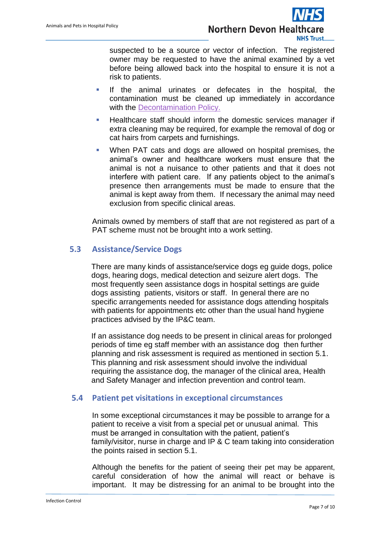

suspected to be a source or vector of infection. The registered owner may be requested to have the animal examined by a vet before being allowed back into the hospital to ensure it is not a risk to patients.

- **If the animal urinates or defecates in the hospital, the** contamination must be cleaned up immediately in accordance with the [Decontamination Policy.](https://www.northdevonhealth.nhs.uk/wp-content/uploads/2016/01/Decontamination-Policy-including-Reusable-Medical-Devices-v4.0.pdf)
- **Healthcare staff should inform the domestic services manager if** extra cleaning may be required, for example the removal of dog or cat hairs from carpets and furnishings.
- When PAT cats and dogs are allowed on hospital premises, the animal's owner and healthcare workers must ensure that the animal is not a nuisance to other patients and that it does not interfere with patient care. If any patients object to the animal's presence then arrangements must be made to ensure that the animal is kept away from them. If necessary the animal may need exclusion from specific clinical areas.

Animals owned by members of staff that are not registered as part of a PAT scheme must not be brought into a work setting.

## <span id="page-6-0"></span>**5.3 Assistance/Service Dogs**

There are many kinds of assistance/service dogs eg guide dogs, police dogs, hearing dogs, medical detection and seizure alert dogs. The most frequently seen assistance dogs in hospital settings are guide dogs assisting patients, visitors or staff. In general there are no specific arrangements needed for assistance dogs attending hospitals with patients for appointments etc other than the usual hand hygiene practices advised by the IP&C team.

If an assistance dog needs to be present in clinical areas for prolonged periods of time eg staff member with an assistance dog then further planning and risk assessment is required as mentioned in section 5.1. This planning and risk assessment should involve the individual requiring the assistance dog, the manager of the clinical area, Health and Safety Manager and infection prevention and control team.

## <span id="page-6-1"></span>**5.4 Patient pet visitations in exceptional circumstances**

In some exceptional circumstances it may be possible to arrange for a patient to receive a visit from a special pet or unusual animal. This must be arranged in consultation with the patient, patient's family/visitor, nurse in charge and IP & C team taking into consideration the points raised in section 5.1.

Although the benefits for the patient of seeing their pet may be apparent, careful consideration of how the animal will react or behave is important. It may be distressing for an animal to be brought into the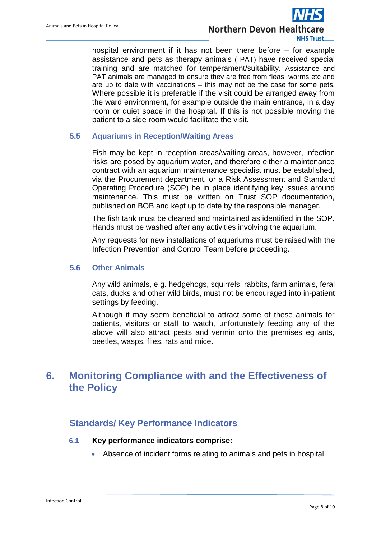

hospital environment if it has not been there before – for example assistance and pets as therapy animals ( PAT) have received special training and are matched for temperament/suitability. Assistance and PAT animals are managed to ensure they are free from fleas, worms etc and are up to date with vaccinations – this may not be the case for some pets. Where possible it is preferable if the visit could be arranged away from the ward environment, for example outside the main entrance, in a day room or quiet space in the hospital. If this is not possible moving the patient to a side room would facilitate the visit.

### <span id="page-7-0"></span>**5.5 Aquariums in Reception/Waiting Areas**

Fish may be kept in reception areas/waiting areas, however, infection risks are posed by aquarium water, and therefore either a maintenance contract with an aquarium maintenance specialist must be established, via the Procurement department, or a Risk Assessment and Standard Operating Procedure (SOP) be in place identifying key issues around maintenance. This must be written on Trust SOP documentation, published on BOB and kept up to date by the responsible manager.

The fish tank must be cleaned and maintained as identified in the SOP. Hands must be washed after any activities involving the aquarium.

Any requests for new installations of aquariums must be raised with the Infection Prevention and Control Team before proceeding.

#### <span id="page-7-1"></span>**5.6 Other Animals**

Any wild animals, e.g. hedgehogs, squirrels, rabbits, farm animals, feral cats, ducks and other wild birds, must not be encouraged into in-patient settings by feeding.

Although it may seem beneficial to attract some of these animals for patients, visitors or staff to watch, unfortunately feeding any of the above will also attract pests and vermin onto the premises eg ants, beetles, wasps, flies, rats and mice.

# <span id="page-7-2"></span>**6. Monitoring Compliance with and the Effectiveness of the Policy**

## <span id="page-7-3"></span>**Standards/ Key Performance Indicators**

#### **6.1 Key performance indicators comprise:**

Absence of incident forms relating to animals and pets in hospital.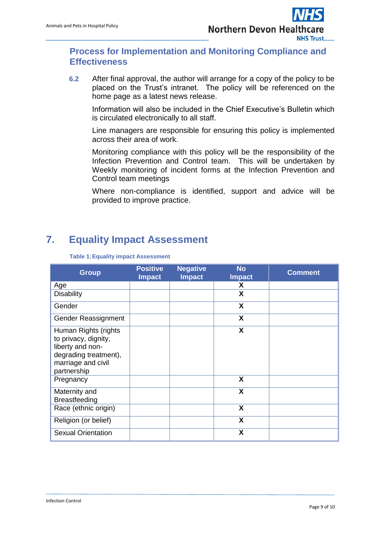## <span id="page-8-0"></span>**Process for Implementation and Monitoring Compliance and Effectiveness**

**6.2** After final approval, the author will arrange for a copy of the policy to be placed on the Trust's intranet. The policy will be referenced on the home page as a latest news release.

Information will also be included in the Chief Executive's Bulletin which is circulated electronically to all staff.

Line managers are responsible for ensuring this policy is implemented across their area of work.

Monitoring compliance with this policy will be the responsibility of the Infection Prevention and Control team. This will be undertaken by Weekly monitoring of incident forms at the Infection Prevention and Control team meetings

Where non-compliance is identified, support and advice will be provided to improve practice.

# <span id="page-8-1"></span>**7. Equality Impact Assessment**

| <b>Group</b>                                                                                                                   | <b>Positive</b><br><b>Impact</b> | <b>Negative</b><br><b>Impact</b> | <b>No</b><br><b>Impact</b> | <b>Comment</b> |
|--------------------------------------------------------------------------------------------------------------------------------|----------------------------------|----------------------------------|----------------------------|----------------|
| Age                                                                                                                            |                                  |                                  | X                          |                |
| <b>Disability</b>                                                                                                              |                                  |                                  | X                          |                |
| Gender                                                                                                                         |                                  |                                  | X                          |                |
| Gender Reassignment                                                                                                            |                                  |                                  | X                          |                |
| Human Rights (rights<br>to privacy, dignity,<br>liberty and non-<br>degrading treatment),<br>marriage and civil<br>partnership |                                  |                                  | X                          |                |
| Pregnancy                                                                                                                      |                                  |                                  | X                          |                |
| Maternity and<br><b>Breastfeeding</b>                                                                                          |                                  |                                  | X                          |                |
| Race (ethnic origin)                                                                                                           |                                  |                                  | X                          |                |
| Religion (or belief)                                                                                                           |                                  |                                  | X                          |                |
| <b>Sexual Orientation</b>                                                                                                      |                                  |                                  | X                          |                |

#### **Table 1:Equality impact Assessment**